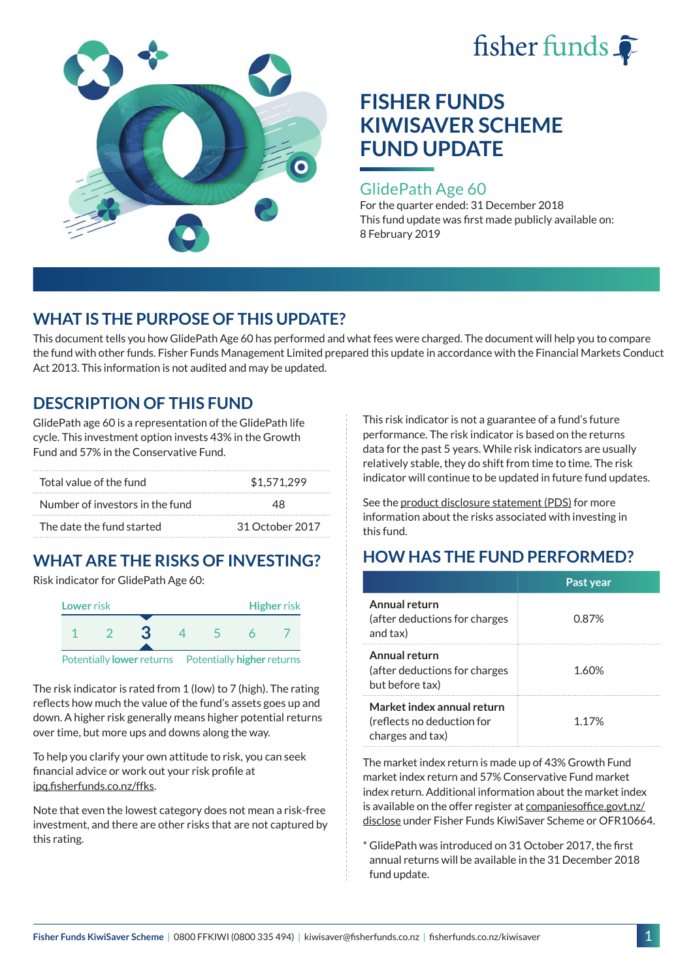



### GlidePath Age 60

For the quarter ended: 31 December 2018 This fund update was first made publicly available on: 8 February 2019

## **WHAT IS THE PURPOSE OF THIS UPDATE?**

This document tells you how GlidePath Age 60 has performed and what fees were charged. The document will help you to compare the fund with other funds. Fisher Funds Management Limited prepared this update in accordance with the Financial Markets Conduct Act 2013. This information is not audited and may be updated.

## **DESCRIPTION OF THIS FUND**

GlidePath age 60 is a representation of the GlidePath life cycle. This investment option invests 43% in the Growth Fund and 57% in the Conservative Fund.

| Total value of the fund         | \$1.571.299     |  |  |
|---------------------------------|-----------------|--|--|
| Number of investors in the fund | 48              |  |  |
| The date the fund started       | 31 October 2017 |  |  |

# **WHAT ARE THE RISKS OF INVESTING?**

Risk indicator for GlidePath Age 60:



Potentially **lower** returns Potentially **higher** returns

The risk indicator is rated from 1 (low) to 7 (high). The rating reflects how much the value of the fund's assets goes up and down. A higher risk generally means higher potential returns over time, but more ups and downs along the way.

To help you clarify your own attitude to risk, you can seek financial advice or work out your risk profile at [ipq.fisherfunds.co.nz/ffks](https://ipq.fisherfunds.co.nz/ffks).

Note that even the lowest category does not mean a risk-free investment, and there are other risks that are not captured by this rating.

This risk indicator is not a guarantee of a fund's future performance. The risk indicator is based on the returns data for the past 5 years. While risk indicators are usually relatively stable, they do shift from time to time. The risk indicator will continue to be updated in future fund updates.

See the [product disclosure statement \(PDS\)](https://fisherfunds.co.nz/assets/PDS/Fisher-Funds-KiwiSaver-Scheme-PDS.pdf) for more information about the risks associated with investing in this fund.

## **HOW HAS THE FUND PERFORMED?**

|                                                                              | Past year |
|------------------------------------------------------------------------------|-----------|
| Annual return<br>(after deductions for charges<br>and tax)                   | 0.87%     |
| Annual return<br>(after deductions for charges<br>but before tax)            | 1.60%     |
| Market index annual return<br>(reflects no deduction for<br>charges and tax) | 1.17%     |

The market index return is made up of 43% Growth Fund market index return and 57% Conservative Fund market index return. Additional information about the market index is available on the offer register at [companiesoffice.govt.nz/](http://companiesoffice.govt.nz/disclose) [disclose](http://companiesoffice.govt.nz/disclose) under Fisher Funds KiwiSaver Scheme or OFR10664.

\* GlidePath was introduced on 31 October 2017, the first annual returns will be available in the 31 December 2018 fund update.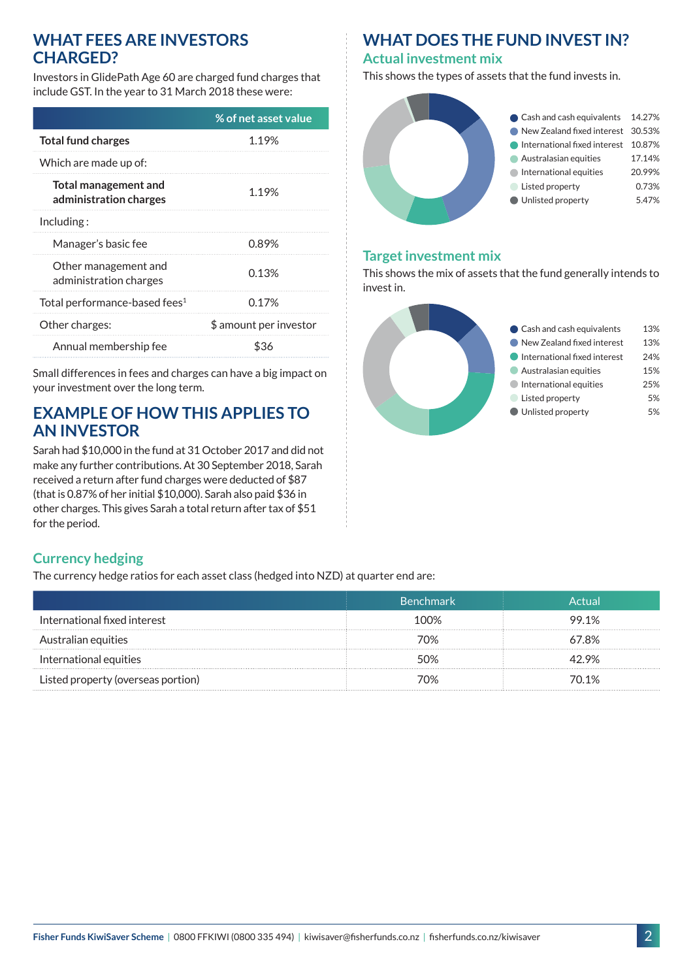### **WHAT FEES ARE INVESTORS CHARGED?**

Investors in GlidePath Age 60 are charged fund charges that include GST. In the year to 31 March 2018 these were:

|                                                | % of net asset value   |
|------------------------------------------------|------------------------|
| <b>Total fund charges</b>                      | 1.19%                  |
| Which are made up of:                          |                        |
| Total management and<br>administration charges | 1.19%                  |
| Including:                                     |                        |
| Manager's basic fee                            | 0.89%                  |
| Other management and<br>administration charges | 0.13%                  |
| Total performance-based fees <sup>1</sup>      | 0.17%                  |
| Other charges:                                 | \$ amount per investor |
| Annual membership fee                          | \$36                   |

Small differences in fees and charges can have a big impact on your investment over the long term.

## **EXAMPLE OF HOW THIS APPLIES TO AN INVESTOR**

Sarah had \$10,000 in the fund at 31 October 2017 and did not make any further contributions. At 30 September 2018, Sarah received a return after fund charges were deducted of \$87 (that is 0.87% of her initial \$10,000). Sarah also paid \$36 in other charges. This gives Sarah a total return after tax of \$51 for the period.

## **WHAT DOES THE FUND INVEST IN?**

#### **Actual investment mix**

This shows the types of assets that the fund invests in.



#### **Target investment mix**

This shows the mix of assets that the fund generally intends to invest in.



### **Currency hedging**

The currency hedge ratios for each asset class (hedged into NZD) at quarter end are:

|                                    | 'Benchmark | Actual |
|------------------------------------|------------|--------|
| International fixed interest       | 100%       | 99.1%  |
| Australian equities                | 70%        | 67.8%  |
| International equities             | 5ሰ%        | 42 9%  |
| Listed property (overseas portion) | 70%        | 70.1%  |